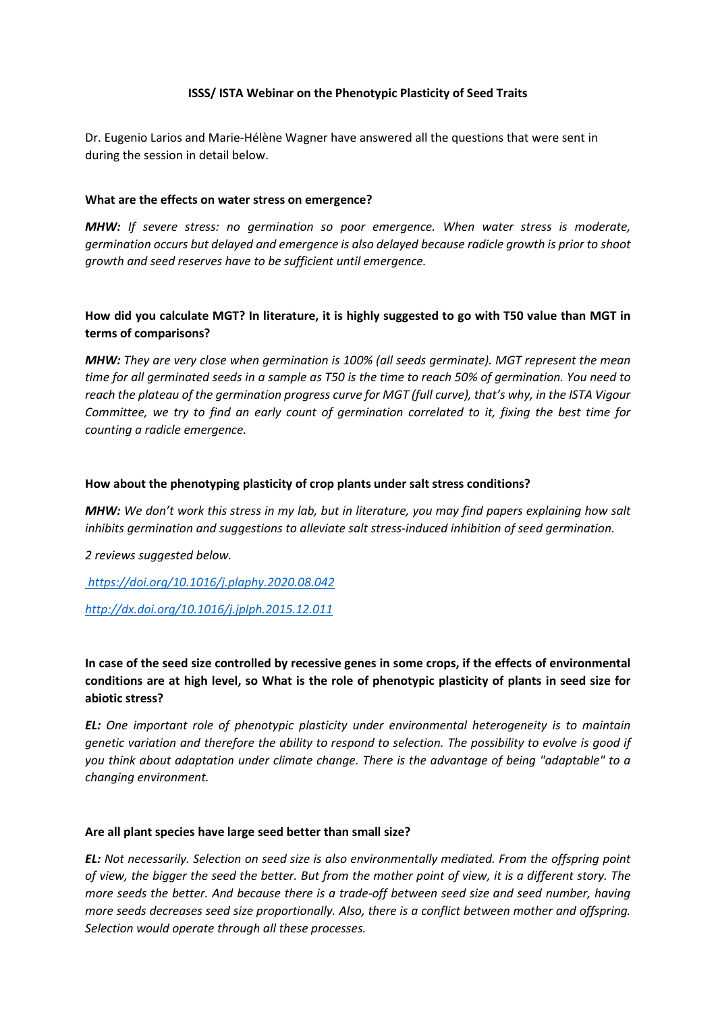## **ISSS/ ISTA Webinar on the Phenotypic Plasticity of Seed Traits**

Dr. Eugenio Larios and Marie-Hélène Wagner have answered all the questions that were sent in during the session in detail below.

## **What are the effects on water stress on emergence?**

*MHW: If severe stress: no germination so poor emergence. When water stress is moderate, germination occurs but delayed and emergence is also delayed because radicle growth is prior to shoot growth and seed reserves have to be sufficient until emergence.* 

# **How did you calculate MGT? In literature, it is highly suggested to go with T50 value than MGT in terms of comparisons?**

*MHW: They are very close when germination is 100% (all seeds germinate). MGT represent the mean time for all germinated seeds in a sample as T50 is the time to reach 50% of germination. You need to reach the plateau of the germination progress curve for MGT (full curve), that's why, in the ISTA Vigour Committee, we try to find an early count of germination correlated to it, fixing the best time for counting a radicle emergence.*

### **How about the phenotyping plasticity of crop plants under salt stress conditions?**

*MHW: We don't work this stress in my lab, but in literature, you may find papers explaining how salt inhibits germination and suggestions to alleviate salt stress-induced inhibition of seed germination.* 

*2 reviews suggested below.*

*https://doi.org/10.1016/j.plaphy.2020.08.042* 

*<http://dx.doi.org/10.1016/j.jplph.2015.12.011>*

# **In case of the seed size controlled by recessive genes in some crops, if the effects of environmental conditions are at high level, so What is the role of phenotypic plasticity of plants in seed size for abiotic stress?**

*EL: One important role of phenotypic plasticity under environmental heterogeneity is to maintain genetic variation and therefore the ability to respond to selection. The possibility to evolve is good if you think about adaptation under climate change. There is the advantage of being "adaptable" to a changing environment.*

#### **Are all plant species have large seed better than small size?**

*EL: Not necessarily. Selection on seed size is also environmentally mediated. From the offspring point of view, the bigger the seed the better. But from the mother point of view, it is a different story. The more seeds the better. And because there is a trade-off between seed size and seed number, having more seeds decreases seed size proportionally. Also, there is a conflict between mother and offspring. Selection would operate through all these processes.*